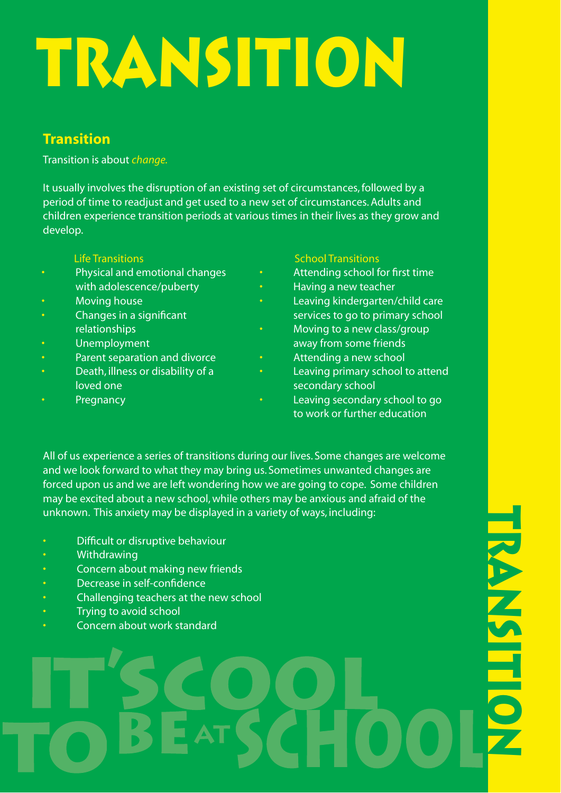# **TRANSITION**

# **Transition**

Transition is about *change.*

It usually involves the disruption of an existing set of circumstances, followed by a period of time to readjust and get used to a new set of circumstances. Adults and children experience transition periods at various times in their lives as they grow and develop.

- Physical and emotional changes with adolescence/puberty
- Moving house
- Changes in a significant relationships
- Unemployment
- Parent separation and divorce
- Death, illness or disability of a loved one
- **Pregnancy**

## **Life Transitions** School Transitions and School Transitions

- Attending school for first time
- Having a new teacher
- Leaving kindergarten/child care services to go to primary school
- Moving to a new class/group away from some friends
- Attending a new school
- Leaving primary school to attend secondary school
- Leaving secondary school to go to work or further education

All of us experience a series of transitions during our lives. Some changes are welcome and we look forward to what they may bring us. Sometimes unwanted changes are forced upon us and we are left wondering how we are going to cope. Some children may be excited about a new school, while others may be anxious and afraid of the unknown. This anxiety may be displayed in a variety of ways, including:

- Difficult or disruptive behaviour
- Withdrawing
- Concern about making new friends
- Decrease in self-confidence
- Challenging teachers at the new school
- Trying to avoid school
- Concern about work standard

**TRANSITIONRANASITIO**